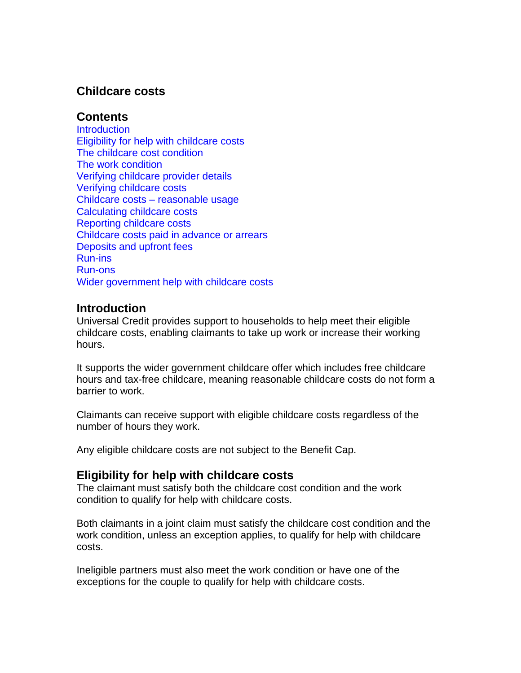## **Childcare costs**

## **Contents**

**[Introduction](#page-0-0)** Eligibility [for help with childcare costs](#page-0-1) [The childcare cost condition](#page-1-0) [The work condition](#page-1-1) [Verifying childcare provider details](#page-2-0) [Verifying childcare costs](#page-2-1) Childcare costs – [reasonable usage](#page-4-0) [Calculating childcare costs](#page-4-1) [Reporting childcare costs](#page-5-0) [Childcare costs paid in advance or arrears](#page-6-0) [Deposits and upfront fees](#page-6-1) [Run-ins](#page-6-2) [Run-ons](#page-6-3) [Wider government help with childcare costs](#page-7-0)

## <span id="page-0-0"></span>**Introduction**

Universal Credit provides support to households to help meet their eligible childcare costs, enabling claimants to take up work or increase their working hours.

It supports the wider government childcare offer which includes free childcare hours and tax-free childcare, meaning reasonable childcare costs do not form a barrier to work.

Claimants can receive support with eligible childcare costs regardless of the number of hours they work.

<span id="page-0-1"></span>Any eligible childcare costs are not subject to the Benefit Cap.

## **Eligibility for help with childcare costs**

The claimant must satisfy both the childcare cost condition and the work condition to qualify for help with childcare costs.

Both claimants in a joint claim must satisfy the childcare cost condition and the work condition, unless an exception applies, to qualify for help with childcare costs.

Ineligible partners must also meet the work condition or have one of the exceptions for the couple to qualify for help with childcare costs.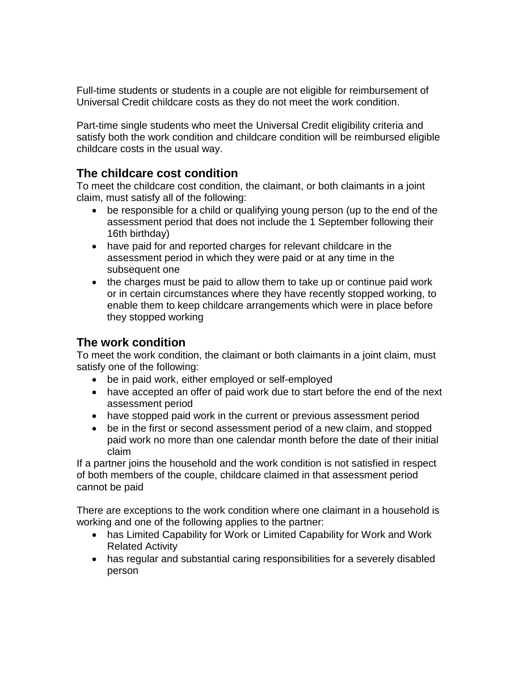Full-time students or students in a couple are not eligible for reimbursement of Universal Credit childcare costs as they do not meet the work condition.

Part-time single students who meet the Universal Credit eligibility criteria and satisfy both the work condition and childcare condition will be reimbursed eligible childcare costs in the usual way.

# <span id="page-1-0"></span>**The childcare cost condition**

To meet the childcare cost condition, the claimant, or both claimants in a joint claim, must satisfy all of the following:

- be responsible for a child or qualifying young person (up to the end of the assessment period that does not include the 1 September following their 16th birthday)
- have paid for and reported charges for relevant childcare in the assessment period in which they were paid or at any time in the subsequent one
- the charges must be paid to allow them to take up or continue paid work or in certain circumstances where they have recently stopped working, to enable them to keep childcare arrangements which were in place before they stopped working

# <span id="page-1-1"></span>**The work condition**

To meet the work condition, the claimant or both claimants in a joint claim, must satisfy one of the following:

- be in paid work, either employed or self-employed
- have accepted an offer of paid work due to start before the end of the next assessment period
- have stopped paid work in the current or previous assessment period
- be in the first or second assessment period of a new claim, and stopped paid work no more than one calendar month before the date of their initial claim

If a partner joins the household and the work condition is not satisfied in respect of both members of the couple, childcare claimed in that assessment period cannot be paid

There are exceptions to the work condition where one claimant in a household is working and one of the following applies to the partner:

- has Limited Capability for Work or Limited Capability for Work and Work Related Activity
- has regular and substantial caring responsibilities for a severely disabled person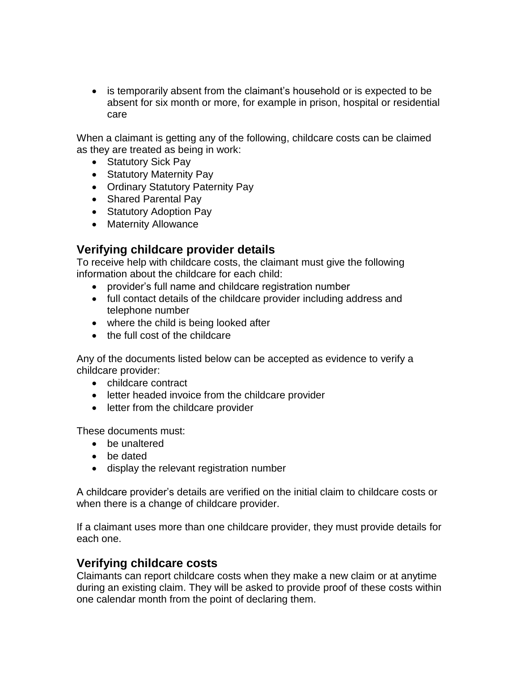• is temporarily absent from the claimant's household or is expected to be absent for six month or more, for example in prison, hospital or residential care

When a claimant is getting any of the following, childcare costs can be claimed as they are treated as being in work:

- Statutory Sick Pay
- Statutory Maternity Pay
- Ordinary Statutory Paternity Pay
- Shared Parental Pay
- Statutory Adoption Pay
- Maternity Allowance

# <span id="page-2-0"></span>**Verifying childcare provider details**

To receive help with childcare costs, the claimant must give the following information about the childcare for each child:

- provider's full name and childcare registration number
- full contact details of the childcare provider including address and telephone number
- where the child is being looked after
- the full cost of the childcare

Any of the documents listed below can be accepted as evidence to verify a childcare provider:

- childcare contract
- letter headed invoice from the childcare provider
- letter from the childcare provider

These documents must:

- be unaltered
- be dated
- display the relevant registration number

A childcare provider's details are verified on the initial claim to childcare costs or when there is a change of childcare provider.

If a claimant uses more than one childcare provider, they must provide details for each one.

## <span id="page-2-1"></span>**Verifying childcare costs**

Claimants can report childcare costs when they make a new claim or at anytime during an existing claim. They will be asked to provide proof of these costs within one calendar month from the point of declaring them.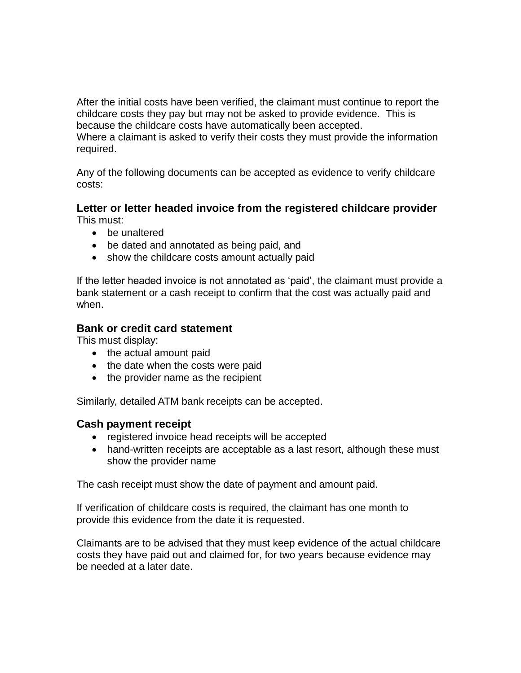After the initial costs have been verified, the claimant must continue to report the childcare costs they pay but may not be asked to provide evidence. This is because the childcare costs have automatically been accepted.

Where a claimant is asked to verify their costs they must provide the information required.

Any of the following documents can be accepted as evidence to verify childcare costs:

#### **Letter or letter headed invoice from the registered childcare provider** This must:

- be unaltered
- be dated and annotated as being paid, and
- show the childcare costs amount actually paid

If the letter headed invoice is not annotated as 'paid', the claimant must provide a bank statement or a cash receipt to confirm that the cost was actually paid and when.

## **Bank or credit card statement**

This must display:

- the actual amount paid
- $\bullet$  the date when the costs were paid
- the provider name as the recipient

Similarly, detailed ATM bank receipts can be accepted.

## **Cash payment receipt**

- registered invoice head receipts will be accepted
- hand-written receipts are acceptable as a last resort, although these must show the provider name

The cash receipt must show the date of payment and amount paid.

If verification of childcare costs is required, the claimant has one month to provide this evidence from the date it is requested.

Claimants are to be advised that they must keep evidence of the actual childcare costs they have paid out and claimed for, for two years because evidence may be needed at a later date.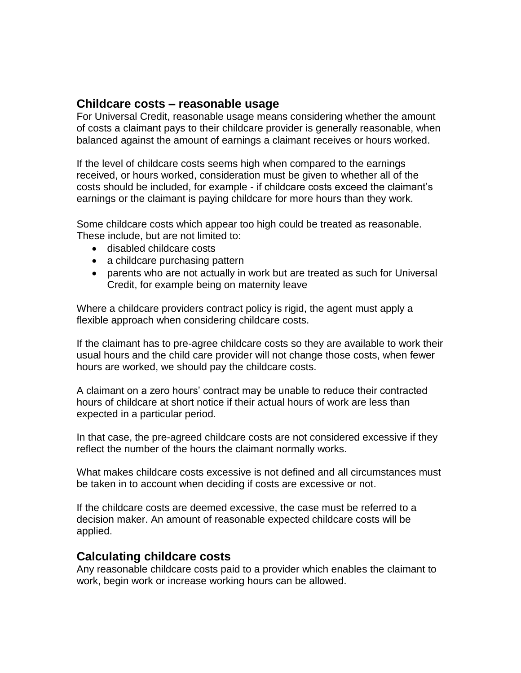## <span id="page-4-0"></span>**Childcare costs – reasonable usage**

For Universal Credit, reasonable usage means considering whether the amount of costs a claimant pays to their childcare provider is generally reasonable, when balanced against the amount of earnings a claimant receives or hours worked.

If the level of childcare costs seems high when compared to the earnings received, or hours worked, consideration must be given to whether all of the costs should be included, for example - if childcare costs exceed the claimant's earnings or the claimant is paying childcare for more hours than they work.

Some childcare costs which appear too high could be treated as reasonable. These include, but are not limited to:

- disabled childcare costs
- a childcare purchasing pattern
- parents who are not actually in work but are treated as such for Universal Credit, for example being on maternity leave

Where a childcare providers contract policy is rigid, the agent must apply a flexible approach when considering childcare costs.

If the claimant has to pre-agree childcare costs so they are available to work their usual hours and the child care provider will not change those costs, when fewer hours are worked, we should pay the childcare costs.

A claimant on a zero hours' contract may be unable to reduce their contracted hours of childcare at short notice if their actual hours of work are less than expected in a particular period.

In that case, the pre-agreed childcare costs are not considered excessive if they reflect the number of the hours the claimant normally works.

What makes childcare costs excessive is not defined and all circumstances must be taken in to account when deciding if costs are excessive or not.

If the childcare costs are deemed excessive, the case must be referred to a decision maker. An amount of reasonable expected childcare costs will be applied.

## <span id="page-4-1"></span>**Calculating childcare costs**

Any reasonable childcare costs paid to a provider which enables the claimant to work, begin work or increase working hours can be allowed.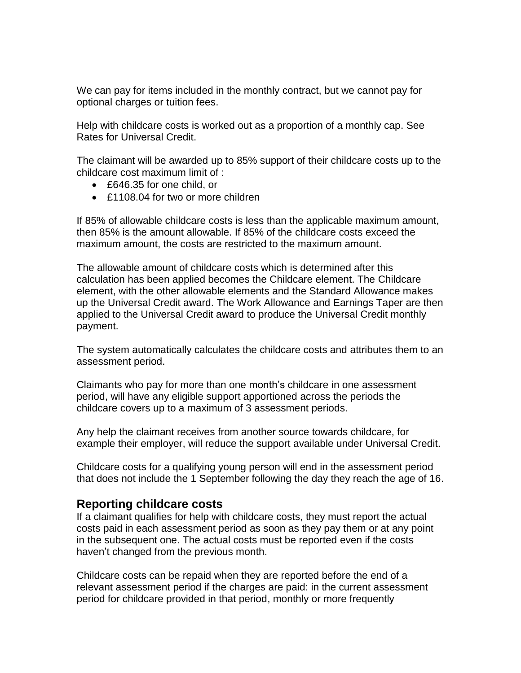We can pay for items included in the monthly contract, but we cannot pay for optional charges or tuition fees.

Help with childcare costs is worked out as a proportion of a monthly cap. See Rates for Universal Credit.

The claimant will be awarded up to 85% support of their childcare costs up to the childcare cost maximum limit of :

- £646.35 for one child, or
- £1108.04 for two or more children

If 85% of allowable childcare costs is less than the applicable maximum amount, then 85% is the amount allowable. If 85% of the childcare costs exceed the maximum amount, the costs are restricted to the maximum amount.

The allowable amount of childcare costs which is determined after this calculation has been applied becomes the Childcare element. The Childcare element, with the other allowable elements and the Standard Allowance makes up the Universal Credit award. The Work Allowance and Earnings Taper are then applied to the Universal Credit award to produce the Universal Credit monthly payment.

The system automatically calculates the childcare costs and attributes them to an assessment period.

Claimants who pay for more than one month's childcare in one assessment period, will have any eligible support apportioned across the periods the childcare covers up to a maximum of 3 assessment periods.

Any help the claimant receives from another source towards childcare, for example their employer, will reduce the support available under Universal Credit.

Childcare costs for a qualifying young person will end in the assessment period that does not include the 1 September following the day they reach the age of 16.

## <span id="page-5-0"></span>**Reporting childcare costs**

If a claimant qualifies for help with childcare costs, they must report the actual costs paid in each assessment period as soon as they pay them or at any point in the subsequent one. The actual costs must be reported even if the costs haven't changed from the previous month.

Childcare costs can be repaid when they are reported before the end of a relevant assessment period if the charges are paid: in the current assessment period for childcare provided in that period, monthly or more frequently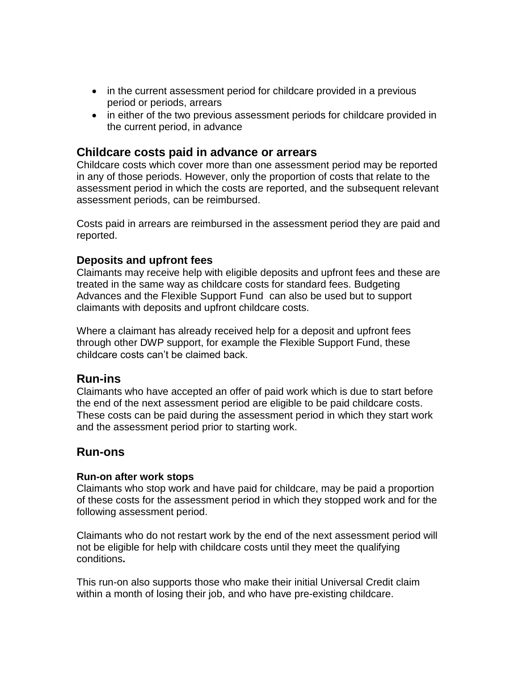- in the current assessment period for childcare provided in a previous period or periods, arrears
- in either of the two previous assessment periods for childcare provided in the current period, in advance

## <span id="page-6-0"></span>**Childcare costs paid in advance or arrears**

Childcare costs which cover more than one assessment period may be reported in any of those periods. However, only the proportion of costs that relate to the assessment period in which the costs are reported, and the subsequent relevant assessment periods, can be reimbursed.

Costs paid in arrears are reimbursed in the assessment period they are paid and reported.

## <span id="page-6-1"></span>**Deposits and upfront fees**

Claimants may receive help with eligible deposits and upfront fees and these are treated in the same way as childcare costs for standard fees. Budgeting Advances and the Flexible Support Fund can also be used but to support claimants with deposits and upfront childcare costs.

Where a claimant has already received help for a deposit and upfront fees through other DWP support, for example the Flexible Support Fund, these childcare costs can't be claimed back.

## <span id="page-6-2"></span>**Run-ins**

Claimants who have accepted an offer of paid work which is due to start before the end of the next assessment period are eligible to be paid childcare costs. These costs can be paid during the assessment period in which they start work and the assessment period prior to starting work.

## <span id="page-6-3"></span>**Run-ons**

### **Run-on after work stops**

Claimants who stop work and have paid for childcare, may be paid a proportion of these costs for the assessment period in which they stopped work and for the following assessment period.

Claimants who do not restart work by the end of the next assessment period will not be eligible for help with childcare costs until they meet the qualifying conditions**.**

This run-on also supports those who make their initial Universal Credit claim within a month of losing their job, and who have pre-existing childcare.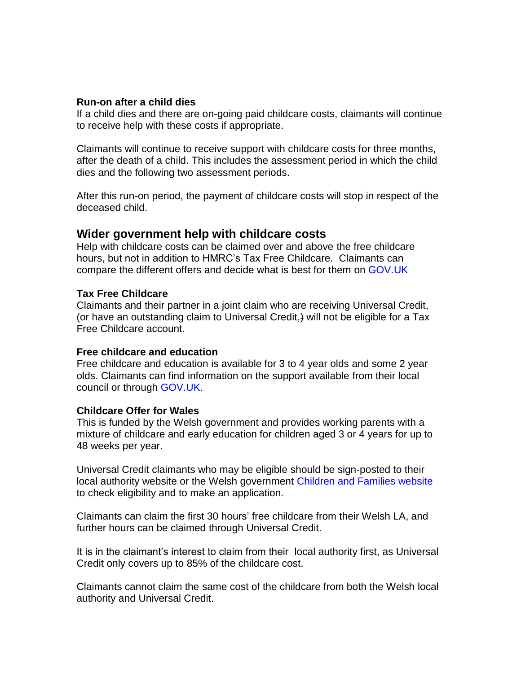#### **Run-on after a child dies**

If a child dies and there are on-going paid childcare costs, claimants will continue to receive help with these costs if appropriate.

Claimants will continue to receive support with childcare costs for three months, after the death of a child. This includes the assessment period in which the child dies and the following two assessment periods.

After this run-on period, the payment of childcare costs will stop in respect of the deceased child.

### <span id="page-7-0"></span>**Wider government help with childcare costs**

Help with childcare costs can be claimed over and above the free childcare hours, but not in addition to HMRC's Tax Free Childcare. Claimants can compare the different offers and decide what is best for them on [GOV.UK](https://www.gov.uk/childcare-calculator)

### **Tax Free Childcare**

Claimants and their partner in a joint claim who are receiving Universal Credit, (or have an outstanding claim to Universal Credit,) will not be eligible for a Tax Free Childcare account.

#### **Free childcare and education**

Free childcare and education is available for 3 to 4 year olds and some 2 year olds. Claimants can find information on the support available from their local council or through [GOV.UK.](https://www.gov.uk/help-with-childcare-costs/free-childcare-and-education-for-2-to-4-year-olds)

#### **Childcare Offer for Wales**

This is funded by the Welsh government and provides working parents with a mixture of childcare and early education for children aged 3 or 4 years for up to 48 weeks per year.

Universal Credit claimants who may be eligible should be sign-posted to their local authority website or the Welsh government [Children and Families website](https://gov.wales/childcare-3-and-4-year-olds) to check eligibility and to make an application.

Claimants can claim the first 30 hours' free childcare from their Welsh LA, and further hours can be claimed through Universal Credit.

It is in the claimant's interest to claim from their local authority first, as Universal Credit only covers up to 85% of the childcare cost.

Claimants cannot claim the same cost of the childcare from both the Welsh local authority and Universal Credit.